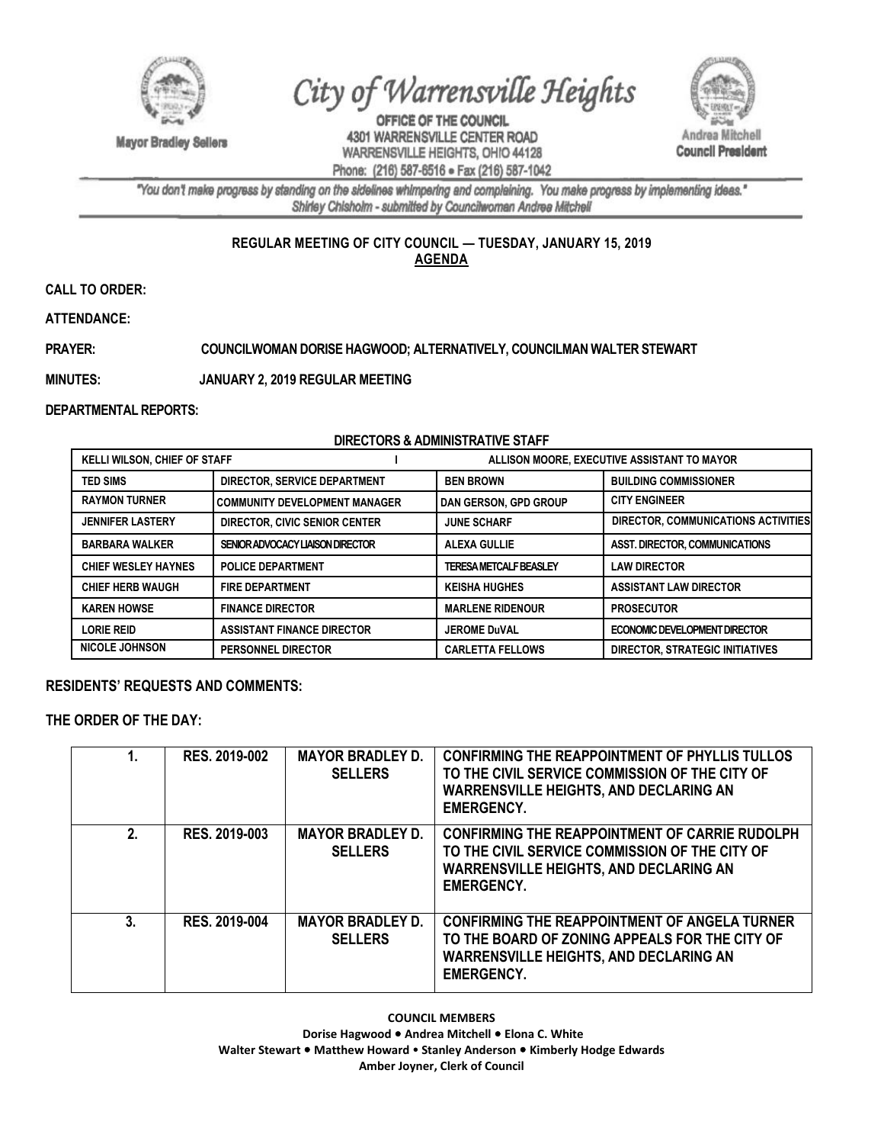

**Mayor Bradley Sellers** 

City of Warrensville Heights

OFFICE OF THE COUNCIL 4301 WARRENSVILLE CENTER ROAD WARRENSVILLE HEIGHTS, OHIO 44128 Phone: (216) 587-6516 · Fax (216) 587-1042



"You don't make progress by standing on the sidelines whimpering and complaining. You make progress by implementing ideas." Shirley Chisholm - submitted by Councilwoman Andrea Mitchell

# **REGULAR MEETING OF CITY COUNCIL — TUESDAY, JANUARY 15, 2019 AGENDA**

**CALL TO ORDER:** 

**ATTENDANCE:**

### **PRAYER: COUNCILWOMAN DORISE HAGWOOD; ALTERNATIVELY, COUNCILMAN WALTER STEWART**

**MINUTES: JANUARY 2, 2019 REGULAR MEETING**

**DEPARTMENTAL REPORTS:**

#### **DIRECTORS & ADMINISTRATIVE STAFF**

| <b>KELLI WILSON, CHIEF OF STAFF</b> |                                      | ALLISON MOORE, EXECUTIVE ASSISTANT TO MAYOR |                                       |
|-------------------------------------|--------------------------------------|---------------------------------------------|---------------------------------------|
| <b>TED SIMS</b>                     | DIRECTOR, SERVICE DEPARTMENT         | <b>BEN BROWN</b>                            | <b>BUILDING COMMISSIONER</b>          |
| <b>RAYMON TURNER</b>                | <b>COMMUNITY DEVELOPMENT MANAGER</b> | <b>I DAN GERSON, GPD GROUP</b>              | <b>CITY ENGINEER</b>                  |
| <b>JENNIFER LASTERY</b>             | DIRECTOR, CIVIC SENIOR CENTER        | <b>JUNE SCHARF</b>                          | DIRECTOR, COMMUNICATIONS ACTIVITIES   |
| <b>BARBARA WALKER</b>               | SENIOR ADVOCACY LIAISON DIRECTOR     | <b>ALEXA GULLIE</b>                         | <b>ASST. DIRECTOR. COMMUNICATIONS</b> |
| <b>CHIEF WESLEY HAYNES</b>          | <b>POLICE DEPARTMENT</b>             | <b>TERESA METCALF BEASLEY</b>               | <b>LAW DIRECTOR</b>                   |
| <b>CHIEF HERB WAUGH</b>             | <b>FIRE DEPARTMENT</b>               | <b>KEISHA HUGHES</b>                        | <b>ASSISTANT LAW DIRECTOR</b>         |
| <b>KAREN HOWSE</b>                  | <b>FINANCE DIRECTOR</b>              | <b>MARLENE RIDENOUR</b>                     | <b>PROSECUTOR</b>                     |
| <b>LORIE REID</b>                   | <b>ASSISTANT FINANCE DIRECTOR</b>    | <b>JEROME DuVAL</b>                         | ECONOMIC DEVELOPMENT DIRECTOR         |
| <b>NICOLE JOHNSON</b>               | <b>PERSONNEL DIRECTOR</b>            | <b>CARLETTA FELLOWS</b>                     | DIRECTOR, STRATEGIC INITIATIVES       |

#### **RESIDENTS' REQUESTS AND COMMENTS:**

**THE ORDER OF THE DAY:**

| 1. | <b>RES. 2019-002</b> | <b>MAYOR BRADLEY D.</b><br><b>SELLERS</b> | <b>CONFIRMING THE REAPPOINTMENT OF PHYLLIS TULLOS</b><br>TO THE CIVIL SERVICE COMMISSION OF THE CITY OF<br><b>WARRENSVILLE HEIGHTS, AND DECLARING AN</b><br><b>EMERGENCY.</b> |
|----|----------------------|-------------------------------------------|-------------------------------------------------------------------------------------------------------------------------------------------------------------------------------|
| 2. | RES. 2019-003        | <b>MAYOR BRADLEY D.</b><br><b>SELLERS</b> | <b>CONFIRMING THE REAPPOINTMENT OF CARRIE RUDOLPH</b><br>TO THE CIVIL SERVICE COMMISSION OF THE CITY OF<br><b>WARRENSVILLE HEIGHTS, AND DECLARING AN</b><br><b>EMERGENCY.</b> |
| 3. | RES. 2019-004        | <b>MAYOR BRADLEY D.</b><br><b>SELLERS</b> | <b>CONFIRMING THE REAPPOINTMENT OF ANGELA TURNER</b><br>TO THE BOARD OF ZONING APPEALS FOR THE CITY OF<br><b>WARRENSVILLE HEIGHTS, AND DECLARING AN</b><br><b>EMERGENCY.</b>  |